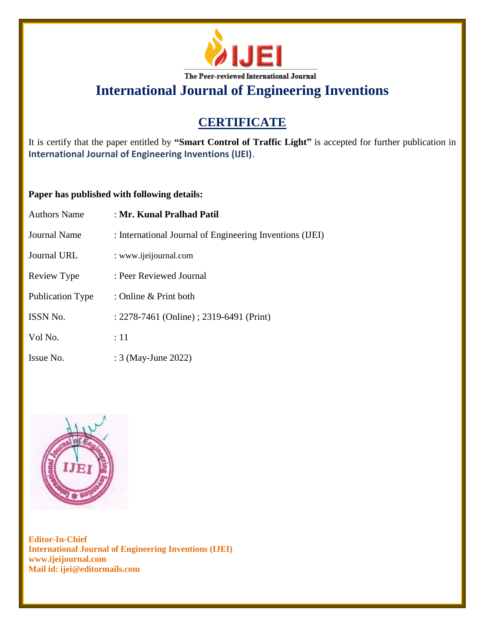

# **CERTIFICATE**

It is certify that the paper entitled by **"Smart Control of Traffic Light"** is accepted for further publication in **International Journal of Engineering Inventions (IJEI)**.

## **Paper has published with following details:**

| <b>Authors Name</b>     | : Mr. Kunal Pralhad Patil                                |
|-------------------------|----------------------------------------------------------|
| Journal Name            | : International Journal of Engineering Inventions (IJEI) |
| <b>Journal URL</b>      | : www.ijeijournal.com                                    |
| Review Type             | : Peer Reviewed Journal                                  |
| <b>Publication Type</b> | : Online $&$ Print both                                  |
| <b>ISSN No.</b>         | : 2278-7461 (Online) ; 2319-6491 (Print)                 |
| Vol No.                 | :11                                                      |
| Issue No.               | : 3 (May-June 2022)                                      |

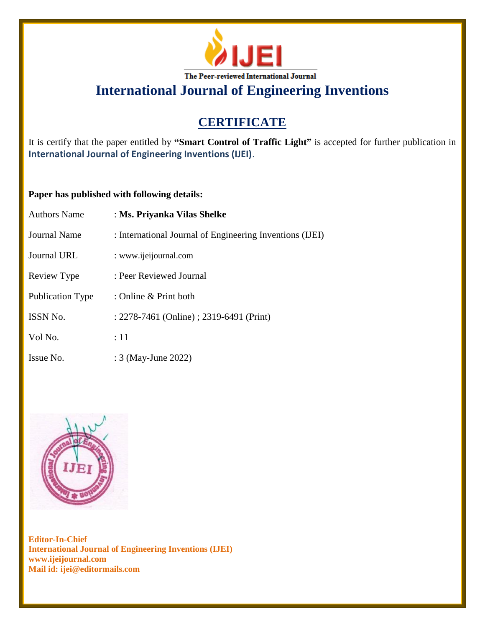

# **CERTIFICATE**

It is certify that the paper entitled by **"Smart Control of Traffic Light"** is accepted for further publication in **International Journal of Engineering Inventions (IJEI)**.

## **Paper has published with following details:**

| <b>Authors Name</b>     | : Ms. Priyanka Vilas Shelke                              |
|-------------------------|----------------------------------------------------------|
| Journal Name            | : International Journal of Engineering Inventions (IJEI) |
| <b>Journal URL</b>      | : www.ijeijournal.com                                    |
| Review Type             | : Peer Reviewed Journal                                  |
| <b>Publication Type</b> | : Online $&$ Print both                                  |
| <b>ISSN No.</b>         | : 2278-7461 (Online) ; 2319-6491 (Print)                 |
| Vol No.                 | :11                                                      |
| Issue No.               | : 3 (May-June 2022)                                      |

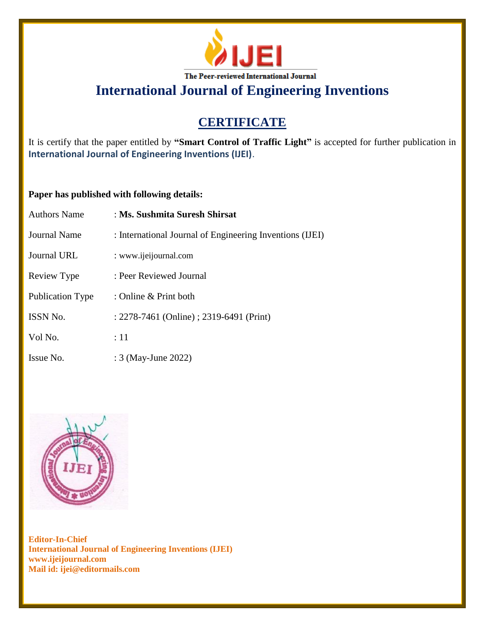

# **CERTIFICATE**

It is certify that the paper entitled by **"Smart Control of Traffic Light"** is accepted for further publication in **International Journal of Engineering Inventions (IJEI)**.

## **Paper has published with following details:**

| <b>Authors Name</b>     | : Ms. Sushmita Suresh Shirsat                            |
|-------------------------|----------------------------------------------------------|
| <b>Journal Name</b>     | : International Journal of Engineering Inventions (IJEI) |
| Journal URL             | : www.ijeijournal.com                                    |
| Review Type             | : Peer Reviewed Journal                                  |
| <b>Publication Type</b> | : Online $&$ Print both                                  |
| <b>ISSN No.</b>         | : 2278-7461 (Online) ; 2319-6491 (Print)                 |
| Vol No.                 | :11                                                      |
| Issue No.               | : 3 (May-June 2022)                                      |

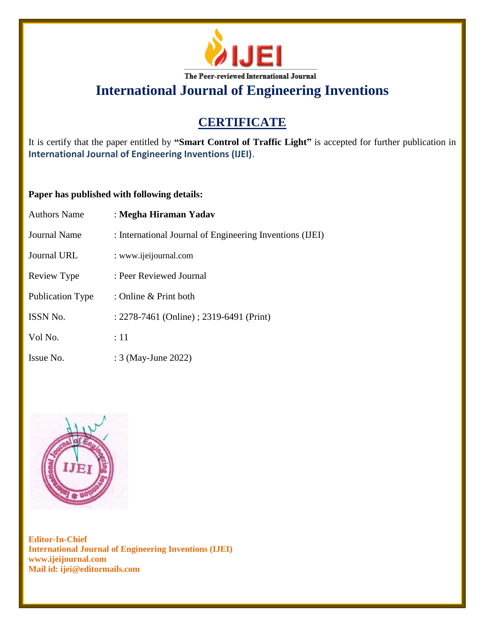

# **CERTIFICATE**

It is certify that the paper entitled by **"Smart Control of Traffic Light"** is accepted for further publication in **International Journal of Engineering Inventions (IJEI)**.

## **Paper has published with following details:**

| <b>Authors Name</b>     | : Megha Hiraman Yadav                                    |
|-------------------------|----------------------------------------------------------|
| Journal Name            | : International Journal of Engineering Inventions (IJEI) |
| <b>Journal URL</b>      | : www.ijeijournal.com                                    |
| Review Type             | : Peer Reviewed Journal                                  |
| <b>Publication Type</b> | : Online & Print both                                    |
| <b>ISSN No.</b>         | : 2278-7461 (Online) ; 2319-6491 (Print)                 |
| Vol No.                 | :11                                                      |
| Issue No.               | : 3 (May-June 2022)                                      |